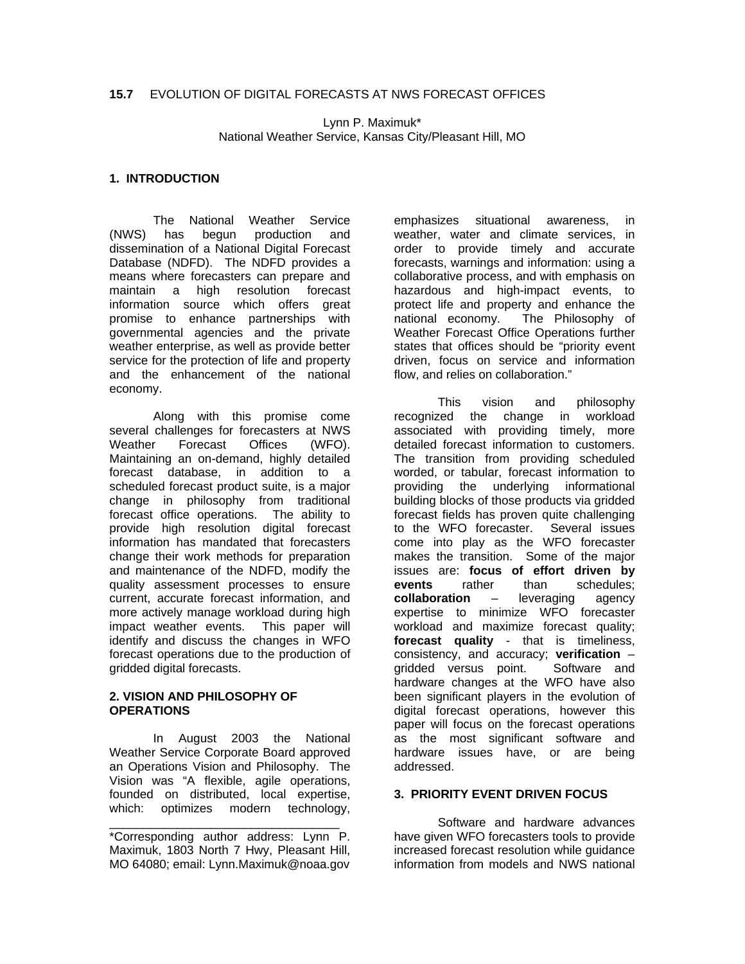Lynn P. Maximuk\* National Weather Service, Kansas City/Pleasant Hill, MO

### **1. INTRODUCTION**

The National Weather Service (NWS) has begun production and dissemination of a National Digital Forecast Database (NDFD). The NDFD provides a means where forecasters can prepare and maintain a high resolution forecast information source which offers great promise to enhance partnerships with governmental agencies and the private weather enterprise, as well as provide better service for the protection of life and property and the enhancement of the national economy.

Along with this promise come several challenges for forecasters at NWS Weather Forecast Offices (WFO). Maintaining an on-demand, highly detailed forecast database, in addition to a scheduled forecast product suite, is a major change in philosophy from traditional forecast office operations. The ability to provide high resolution digital forecast information has mandated that forecasters change their work methods for preparation and maintenance of the NDFD, modify the quality assessment processes to ensure current, accurate forecast information, and more actively manage workload during high impact weather events. This paper will identify and discuss the changes in WFO forecast operations due to the production of gridded digital forecasts.

#### **2. VISION AND PHILOSOPHY OF OPERATIONS**

 In August 2003 the National Weather Service Corporate Board approved an Operations Vision and Philosophy. The Vision was "A flexible, agile operations, founded on distributed, local expertise, which: optimizes modern technology,

\_\_\_\_\_\_\_\_\_\_\_\_\_\_\_\_\_\_\_\_\_\_\_\_\_\_\_\_\_\_\_\_\_\_

emphasizes situational awareness, in weather, water and climate services, in order to provide timely and accurate forecasts, warnings and information: using a collaborative process, and with emphasis on hazardous and high-impact events, to protect life and property and enhance the national economy. The Philosophy of Weather Forecast Office Operations further states that offices should be "priority event driven, focus on service and information flow, and relies on collaboration."

 This vision and philosophy recognized the change in workload associated with providing timely, more detailed forecast information to customers. The transition from providing scheduled worded, or tabular, forecast information to providing the underlying informational building blocks of those products via gridded forecast fields has proven quite challenging to the WFO forecaster. Several issues come into play as the WFO forecaster makes the transition. Some of the major issues are: **focus of effort driven by events** rather than schedules; **collaboration** – leveraging agency expertise to minimize WFO forecaster workload and maximize forecast quality; **forecast quality** - that is timeliness, consistency, and accuracy; **verification** – gridded versus point. Software and hardware changes at the WFO have also been significant players in the evolution of digital forecast operations, however this paper will focus on the forecast operations as the most significant software and hardware issues have, or are being addressed.

#### **3. PRIORITY EVENT DRIVEN FOCUS**

 Software and hardware advances have given WFO forecasters tools to provide increased forecast resolution while guidance information from models and NWS national

<sup>\*</sup>Corresponding author address: Lynn P. Maximuk, 1803 North 7 Hwy, Pleasant Hill, MO 64080; email: Lynn.Maximuk@noaa.gov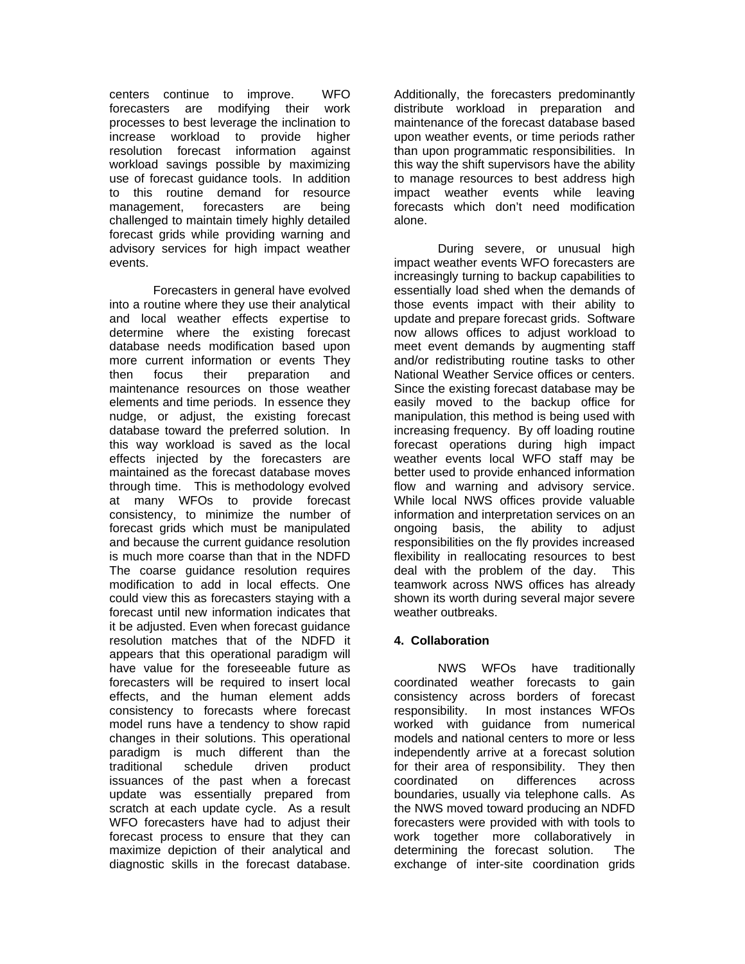centers continue to improve. WFO forecasters are modifying their work processes to best leverage the inclination to increase workload to provide higher resolution forecast information against workload savings possible by maximizing use of forecast guidance tools. In addition to this routine demand for resource management, forecasters are being challenged to maintain timely highly detailed forecast grids while providing warning and advisory services for high impact weather events.

 Forecasters in general have evolved into a routine where they use their analytical and local weather effects expertise to determine where the existing forecast database needs modification based upon more current information or events They then focus their preparation and maintenance resources on those weather elements and time periods. In essence they nudge, or adjust, the existing forecast database toward the preferred solution. In this way workload is saved as the local effects injected by the forecasters are maintained as the forecast database moves through time. This is methodology evolved at many WFOs to provide forecast consistency, to minimize the number of forecast grids which must be manipulated and because the current guidance resolution is much more coarse than that in the NDFD The coarse guidance resolution requires modification to add in local effects. One could view this as forecasters staying with a forecast until new information indicates that it be adjusted. Even when forecast guidance resolution matches that of the NDFD it appears that this operational paradigm will have value for the foreseeable future as forecasters will be required to insert local effects, and the human element adds consistency to forecasts where forecast model runs have a tendency to show rapid changes in their solutions. This operational paradigm is much different than the traditional schedule driven product issuances of the past when a forecast update was essentially prepared from scratch at each update cycle. As a result WFO forecasters have had to adjust their forecast process to ensure that they can maximize depiction of their analytical and diagnostic skills in the forecast database.

Additionally, the forecasters predominantly distribute workload in preparation and maintenance of the forecast database based upon weather events, or time periods rather than upon programmatic responsibilities. In this way the shift supervisors have the ability to manage resources to best address high impact weather events while leaving forecasts which don't need modification alone.

 During severe, or unusual high impact weather events WFO forecasters are increasingly turning to backup capabilities to essentially load shed when the demands of those events impact with their ability to update and prepare forecast grids. Software now allows offices to adjust workload to meet event demands by augmenting staff and/or redistributing routine tasks to other National Weather Service offices or centers. Since the existing forecast database may be easily moved to the backup office for manipulation, this method is being used with increasing frequency. By off loading routine forecast operations during high impact weather events local WFO staff may be better used to provide enhanced information flow and warning and advisory service. While local NWS offices provide valuable information and interpretation services on an ongoing basis, the ability to adjust responsibilities on the fly provides increased flexibility in reallocating resources to best deal with the problem of the day. This teamwork across NWS offices has already shown its worth during several major severe weather outbreaks.

# **4. Collaboration**

NWS WFOs have traditionally coordinated weather forecasts to gain consistency across borders of forecast responsibility. In most instances WFOs worked with guidance from numerical models and national centers to more or less independently arrive at a forecast solution for their area of responsibility. They then coordinated on differences across boundaries, usually via telephone calls. As the NWS moved toward producing an NDFD forecasters were provided with with tools to work together more collaboratively in determining the forecast solution. The exchange of inter-site coordination grids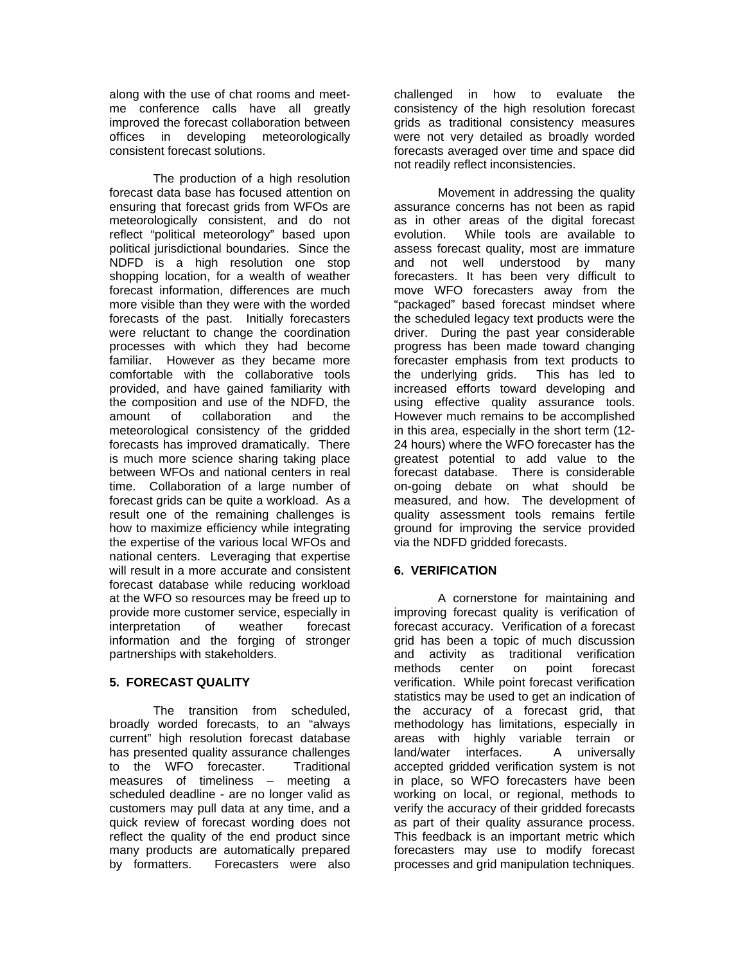along with the use of chat rooms and meetme conference calls have all greatly improved the forecast collaboration between<br>offices in developing meteorologically in developing meteorologically consistent forecast solutions.

The production of a high resolution forecast data base has focused attention on ensuring that forecast grids from WFOs are meteorologically consistent, and do not reflect "political meteorology" based upon political jurisdictional boundaries. Since the NDFD is a high resolution one stop shopping location, for a wealth of weather forecast information, differences are much more visible than they were with the worded forecasts of the past. Initially forecasters were reluctant to change the coordination processes with which they had become familiar. However as they became more comfortable with the collaborative tools provided, and have gained familiarity with the composition and use of the NDFD, the<br>amount of collaboration and the amount of collaboration and the meteorological consistency of the gridded forecasts has improved dramatically. There is much more science sharing taking place between WFOs and national centers in real time. Collaboration of a large number of forecast grids can be quite a workload. As a result one of the remaining challenges is how to maximize efficiency while integrating the expertise of the various local WFOs and national centers. Leveraging that expertise will result in a more accurate and consistent forecast database while reducing workload at the WFO so resources may be freed up to provide more customer service, especially in interpretation of weather forecast information and the forging of stronger partnerships with stakeholders.

## **5. FORECAST QUALITY**

 The transition from scheduled, broadly worded forecasts, to an "always current" high resolution forecast database has presented quality assurance challenges to the WFO forecaster. Traditional measures of timeliness – meeting a scheduled deadline - are no longer valid as customers may pull data at any time, and a quick review of forecast wording does not reflect the quality of the end product since many products are automatically prepared by formatters. Forecasters were also

challenged in how to evaluate the consistency of the high resolution forecast grids as traditional consistency measures were not very detailed as broadly worded forecasts averaged over time and space did not readily reflect inconsistencies.

 Movement in addressing the quality assurance concerns has not been as rapid as in other areas of the digital forecast evolution. While tools are available to assess forecast quality, most are immature and not well understood by many forecasters. It has been very difficult to move WFO forecasters away from the "packaged" based forecast mindset where the scheduled legacy text products were the driver. During the past year considerable progress has been made toward changing forecaster emphasis from text products to<br>the underlying grids. This has led to the underlying grids. increased efforts toward developing and using effective quality assurance tools. However much remains to be accomplished in this area, especially in the short term (12- 24 hours) where the WFO forecaster has the greatest potential to add value to the forecast database. There is considerable on-going debate on what should be measured, and how. The development of quality assessment tools remains fertile ground for improving the service provided via the NDFD gridded forecasts.

# **6. VERIFICATION**

 A cornerstone for maintaining and improving forecast quality is verification of forecast accuracy. Verification of a forecast grid has been a topic of much discussion and activity as traditional verification methods center on point forecast verification. While point forecast verification statistics may be used to get an indication of the accuracy of a forecast grid, that methodology has limitations, especially in areas with highly variable terrain or land/water interfaces. A universally accepted gridded verification system is not in place, so WFO forecasters have been working on local, or regional, methods to verify the accuracy of their gridded forecasts as part of their quality assurance process. This feedback is an important metric which forecasters may use to modify forecast processes and grid manipulation techniques.